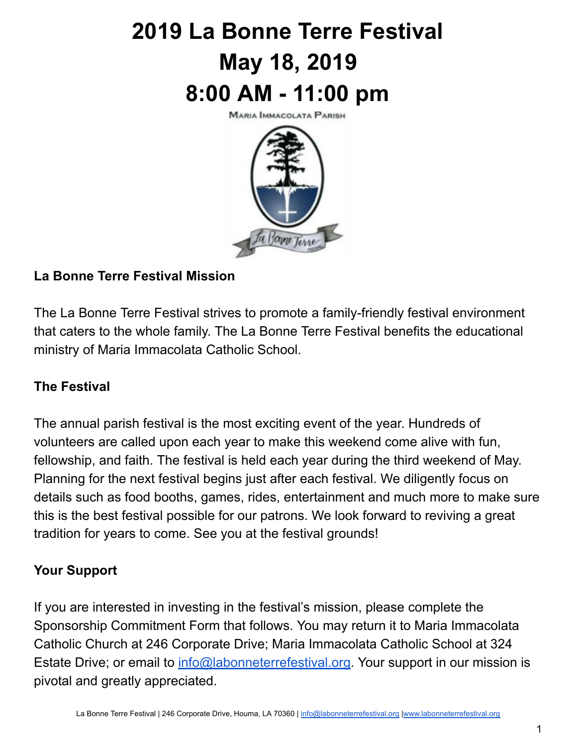# **2019 La Bonne Terre Festival May 18, 2019 8:00 AM - 11:00 pm**

**MARIA IMMACOLATA PARISH** 



# **La Bonne Terre Festival Mission**

The La Bonne Terre Festival strives to promote a family-friendly festival environment that caters to the whole family. The La Bonne Terre Festival benefits the educational ministry of Maria Immacolata Catholic School.

### **The Festival**

The annual parish festival is the most exciting event of the year. Hundreds of volunteers are called upon each year to make this weekend come alive with fun, fellowship, and faith. The festival is held each year during the third weekend of May. Planning for the next festival begins just after each festival. We diligently focus on details such as food booths, games, rides, entertainment and much more to make sure this is the best festival possible for our patrons. We look forward to reviving a great tradition for years to come. See you at the festival grounds!

## **Your Support**

If you are interested in investing in the festival's mission, please complete the Sponsorship Commitment Form that follows. You may return it to Maria Immacolata Catholic Church at 246 Corporate Drive; Maria Immacolata Catholic School at 324 Estate Drive; or email to [info@labonneterrefestival.org](mailto:info@labonneterrefestival.org). Your support in our mission is pivotal and greatly appreciated.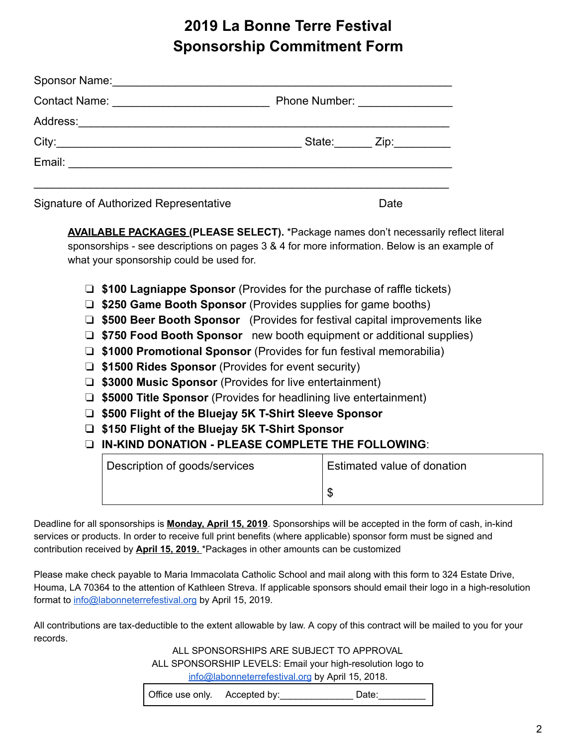# **2019 La Bonne Terre Festival Sponsorship Commitment Form**

|                                        | Phone Number: _________________ |                                                  |
|----------------------------------------|---------------------------------|--------------------------------------------------|
|                                        |                                 |                                                  |
|                                        |                                 | State: $\qquad \qquad \text{Zip:} \qquad \qquad$ |
|                                        |                                 |                                                  |
| Signature of Authorized Representative |                                 | Date                                             |

**AVAILABLE PACKAGES (PLEASE SELECT).** \*Package names don't necessarily reflect literal sponsorships - see descriptions on pages 3 & 4 for more information. Below is an example of what your sponsorship could be used for.

- ❏ **\$100 Lagniappe Sponsor** (Provides for the purchase of raffle tickets)
- ❏ **\$250 Game Booth Sponsor** (Provides supplies for game booths)
- ❏ **\$500 Beer Booth Sponsor** (Provides for festival capital improvements like
- ❏ **\$750 Food Booth Sponsor** new booth equipment or additional supplies)
- ❏ **\$1000 Promotional Sponsor** (Provides for fun festival memorabilia)
- ❏ **\$1500 Rides Sponsor** (Provides for event security)
- ❏ **\$3000 Music Sponsor** (Provides for live entertainment)
- ❏ **\$5000 Title Sponsor** (Provides for headlining live entertainment)
- ❏ **\$500 Flight of the Bluejay 5K T-Shirt Sleeve Sponsor**
- ❏ **\$150 Flight of the Bluejay 5K T-Shirt Sponsor**
- ❏ **IN-KIND DONATION PLEASE COMPLETE THE FOLLOWING** :

| Description of goods/services | Estimated value of donation |  |
|-------------------------------|-----------------------------|--|
|                               |                             |  |

Deadline for all sponsorships is **Monday, April 15, 2019**. Sponsorships will be accepted in the form of cash, in-kind services or products. In order to receive full print benefits (where applicable) sponsor form must be signed and contribution received by **April 15, 2019.** \*Packages in other amounts can be customized

Please make check payable to Maria Immacolata Catholic School and mail along with this form to 324 Estate Drive, Houma, LA 70364 to the attention of Kathleen Streva. If applicable sponsors should email their logo in a high-resolution format to [info@labonneterrefestival.org](mailto:info@labonneterrefestival.org) by April 15, 2019.

All contributions are tax-deductible to the extent allowable by law. A copy of this contract will be mailed to you for your records.

> ALL SPONSORSHIPS ARE SUBJECT TO APPROVAL ALL SPONSORSHIP LEVELS: Email your high-resolution logo to [info@labonneterrefestival.org](mailto:info@labonneterrefestival.org) by April 15, 2018.

Office use only. Accepted by: Date: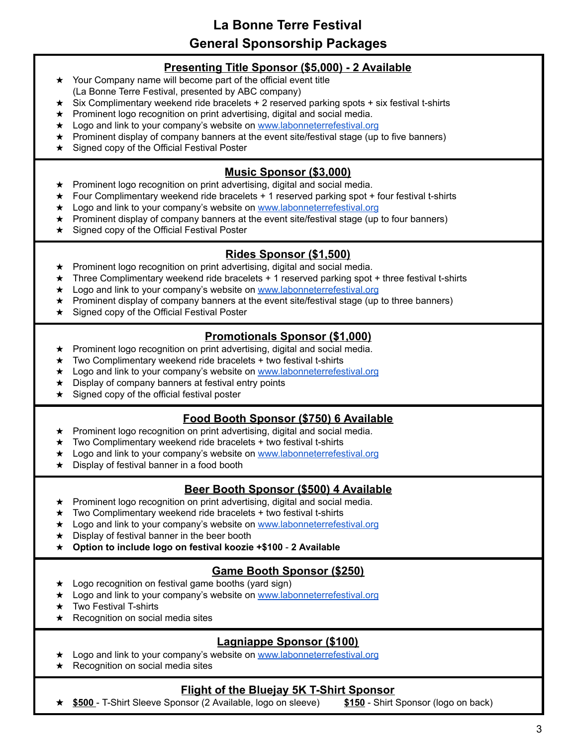**La Bonne Terre Festival General Sponsorship Packages**

#### **Presenting Title Sponsor (\$5,000) - 2 Available**

- ★ Your Company name will become part of the official event title (La Bonne Terre Festival, presented by ABC company)
- ★ Six Complimentary weekend ride bracelets + 2 reserved parking spots + six festival t-shirts
- ★ Prominent logo recognition on print advertising, digital and social media.
- ★ Logo and link to your company's website on [www.labonneterrefestival.org](http://www.labonneterrefestival.org/)
- ★ Prominent display of company banners at the event site/festival stage (up to five banners)
- ★ Signed copy of the Official Festival Poster

#### **Music Sponsor (\$3,000)**

- ★ Prominent logo recognition on print advertising, digital and social media.
- $\star$  Four Complimentary weekend ride bracelets  $+1$  reserved parking spot  $+$  four festival t-shirts
- ★ Logo and link to your company's website on [www.labonneterrefestival.org](http://www.labonneterrefestival.org/)
- ★ Prominent display of company banners at the event site/festival stage (up to four banners)
- ★ Signed copy of the Official Festival Poster

#### **Rides Sponsor (\$1,500)**

- ★ Prominent logo recognition on print advertising, digital and social media.
- ★ Three Complimentary weekend ride bracelets + 1 reserved parking spot + three festival t-shirts
- ★ Logo and link to your company's website on [www.labonneterrefestival.org](http://www.labonneterrefestival.org/)
- ★ Prominent display of company banners at the event site/festival stage (up to three banners)
- ★ Signed copy of the Official Festival Poster

#### **Promotionals Sponsor (\$1,000)**

- ★ Prominent logo recognition on print advertising, digital and social media.
- $\star$  Two Complimentary weekend ride bracelets + two festival t-shirts
- ★ Logo and link to your company's website on [www.labonneterrefestival.org](http://www.labonneterrefestival.org/)
- ★ Display of company banners at festival entry points
- ★ Signed copy of the official festival poster

#### **Food Booth Sponsor (\$750) 6 Available**

- ★ Prominent logo recognition on print advertising, digital and social media.
- $\star$  Two Complimentary weekend ride bracelets + two festival t-shirts
- ★ Logo and link to your company's website on [www.labonneterrefestival.org](http://www.labonneterrefestival.org/)
- ★ Display of festival banner in a food booth

#### **Beer Booth Sponsor (\$500) 4 Available**

- ★ Prominent logo recognition on print advertising, digital and social media.
- $\star$  Two Complimentary weekend ride bracelets + two festival t-shirts
- ★ Logo and link to your company's website on [www.labonneterrefestival.org](http://www.labonneterrefestival.org/)
- ★ Display of festival banner in the beer booth
- ★ **Option to include logo on festival koozie +\$100 2 Available**

#### **Game Booth Sponsor (\$250)**

- ★ Logo recognition on festival game booths (yard sign)
- ★ Logo and link to your company's website on [www.labonneterrefestival.org](http://www.labonneterrefestival.org/)
- ★ Two Festival T-shirts
- ★ Recognition on social media sites

#### **Lagniappe Sponsor (\$100)**

- ★ Logo and link to your company's website on [www.labonneterrefestival.org](http://www.labonneterrefestival.org/)
- ★ Recognition on social media sites

#### **Flight of the Bluejay 5K T-Shirt Sponsor**

★ **\$500** - T-Shirt Sleeve Sponsor (2 Available, logo on sleeve) **\$150** - Shirt Sponsor (logo on back)